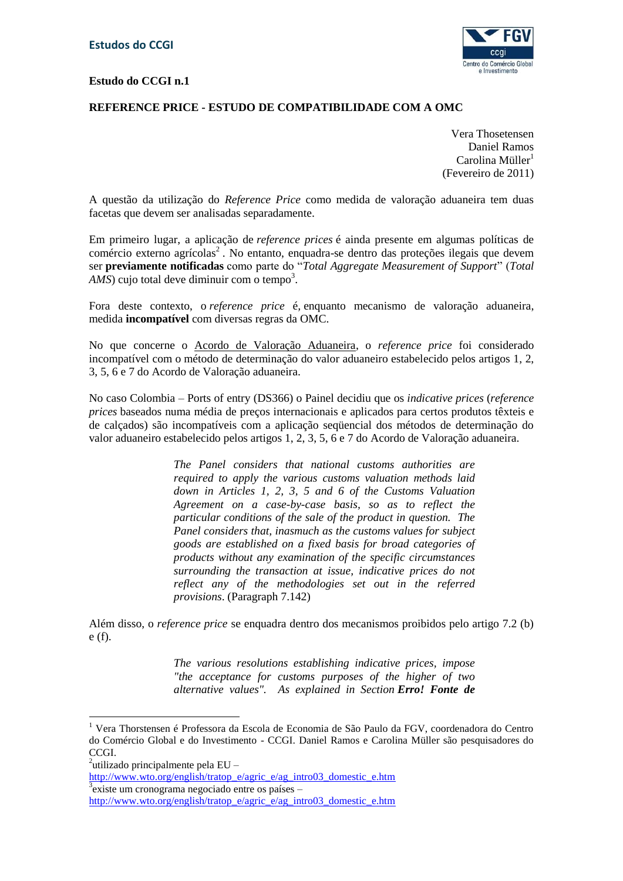### **Estudo do CCGI n.1**



## **REFERENCE PRICE - ESTUDO DE COMPATIBILIDADE COM A OMC**

Vera Thosetensen Daniel Ramos  $Carolina$  Müller<sup>1</sup> (Fevereiro de 2011)

A questão da utilização do *Reference Price* como medida de valoração aduaneira tem duas facetas que devem ser analisadas separadamente.

Em primeiro lugar, a aplicação de *reference prices* é ainda presente em algumas políticas de comércio externo agrícolas<sup>2</sup>. No entanto, enquadra-se dentro das proteções ilegais que devem ser **previamente notificadas** como parte do "*Total Aggregate Measurement of Support*" (*Total*   $AMS$ ) cujo total deve diminuir com o tempo<sup>3</sup>.

Fora deste contexto, o *reference price* é*,* enquanto mecanismo de valoração aduaneira, medida **incompatível** com diversas regras da OMC.

No que concerne o Acordo de Valoração Aduaneira, o *reference price* foi considerado incompatível com o método de determinação do valor aduaneiro estabelecido pelos artigos 1, 2, 3, 5, 6 e 7 do Acordo de Valoração aduaneira.

No caso Colombia – Ports of entry (DS366) o Painel decidiu que os *indicative prices* (*reference prices* baseados numa média de preços internacionais e aplicados para certos produtos têxteis e de calçados) são incompatíveis com a aplicação seqüencial dos métodos de determinação do valor aduaneiro estabelecido pelos artigos 1, 2, 3, 5, 6 e 7 do Acordo de Valoração aduaneira.

> *The Panel considers that national customs authorities are required to apply the various customs valuation methods laid down in Articles 1, 2, 3, 5 and 6 of the Customs Valuation Agreement on a case-by-case basis, so as to reflect the particular conditions of the sale of the product in question. The Panel considers that, inasmuch as the customs values for subject goods are established on a fixed basis for broad categories of products without any examination of the specific circumstances surrounding the transaction at issue, indicative prices do not reflect any of the methodologies set out in the referred provisions*. (Paragraph 7.142)

Além disso, o *reference price* se enquadra dentro dos mecanismos proibidos pelo artigo 7.2 (b) e (f).

> *The various resolutions establishing indicative prices, impose "the acceptance for customs purposes of the higher of two alternative values". As explained in Section Erro! Fonte de*

1

[http://www.wto.org/english/tratop\\_e/agric\\_e/ag\\_intro03\\_domestic\\_e.htm](http://www.wto.org/english/tratop_e/agric_e/ag_intro03_domestic_e.htm) 3 existe um cronograma negociado entre os países –

<sup>1</sup> Vera Thorstensen é Professora da Escola de Economia de São Paulo da FGV, coordenadora do Centro do Comércio Global e do Investimento - CCGI. Daniel Ramos e Carolina Müller são pesquisadores do CCGI.

<sup>&</sup>lt;sup>2</sup>utilizado principalmente pela EU –

[http://www.wto.org/english/tratop\\_e/agric\\_e/ag\\_intro03\\_domestic\\_e.htm](http://www.wto.org/english/tratop_e/agric_e/ag_intro03_domestic_e.htm)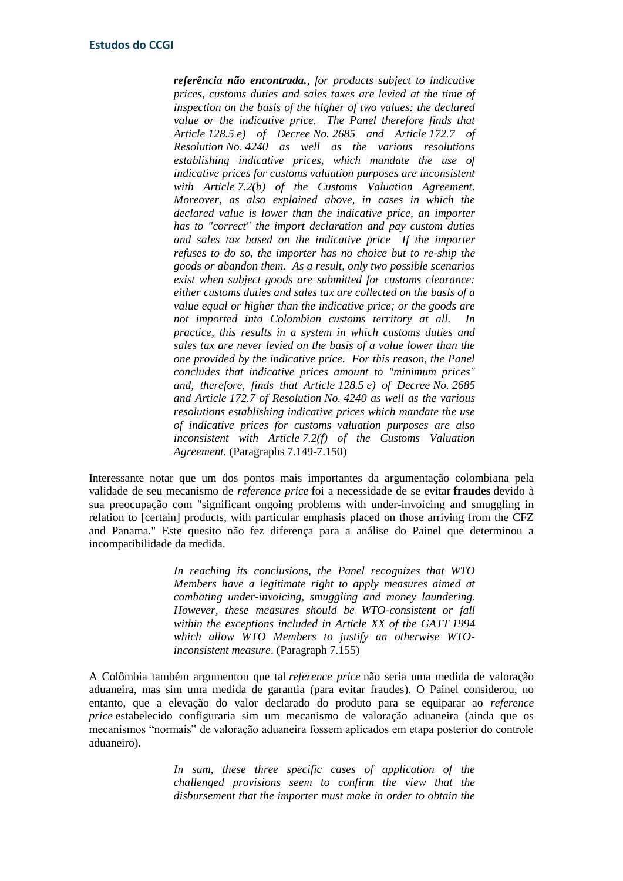*referência não encontrada., for products subject to indicative prices, customs duties and sales taxes are levied at the time of inspection on the basis of the higher of two values: the declared value or the indicative price. The Panel therefore finds that Article 128.5 e) of Decree No. 2685 and Article 172.7 of Resolution No. 4240 as well as the various resolutions establishing indicative prices, which mandate the use of indicative prices for customs valuation purposes are inconsistent with Article 7.2(b) of the Customs Valuation Agreement. Moreover, as also explained above, in cases in which the declared value is lower than the indicative price, an importer has to "correct" the import declaration and pay custom duties and sales tax based on the indicative price If the importer refuses to do so, the importer has no choice but to re-ship the goods or abandon them. As a result, only two possible scenarios exist when subject goods are submitted for customs clearance: either customs duties and sales tax are collected on the basis of a value equal or higher than the indicative price; or the goods are not imported into Colombian customs territory at all. In practice, this results in a system in which customs duties and sales tax are never levied on the basis of a value lower than the one provided by the indicative price. For this reason, the Panel concludes that indicative prices amount to "minimum prices" and, therefore, finds that Article 128.5 e) of Decree No. 2685 and Article 172.7 of Resolution No. 4240 as well as the various resolutions establishing indicative prices which mandate the use of indicative prices for customs valuation purposes are also inconsistent with Article 7.2(f) of the Customs Valuation Agreement.* (Paragraphs 7.149-7.150)

Interessante notar que um dos pontos mais importantes da argumentação colombiana pela validade de seu mecanismo de *reference price* foi a necessidade de se evitar **fraudes** devido à sua preocupação com "significant ongoing problems with under-invoicing and smuggling in relation to [certain] products, with particular emphasis placed on those arriving from the CFZ and Panama." Este quesito não fez diferença para a análise do Painel que determinou a incompatibilidade da medida.

> *In reaching its conclusions, the Panel recognizes that WTO Members have a legitimate right to apply measures aimed at combating under-invoicing, smuggling and money laundering. However, these measures should be WTO-consistent or fall within the exceptions included in Article XX of the GATT 1994 which allow WTO Members to justify an otherwise WTOinconsistent measure*. (Paragraph 7.155)

A Colômbia também argumentou que tal *reference price* não seria uma medida de valoração aduaneira, mas sim uma medida de garantia (para evitar fraudes). O Painel considerou, no entanto, que a elevação do valor declarado do produto para se equiparar ao *reference price* estabelecido configuraria sim um mecanismo de valoração aduaneira (ainda que os mecanismos "normais" de valoração aduaneira fossem aplicados em etapa posterior do controle aduaneiro).

> *In sum, these three specific cases of application of the challenged provisions seem to confirm the view that the disbursement that the importer must make in order to obtain the*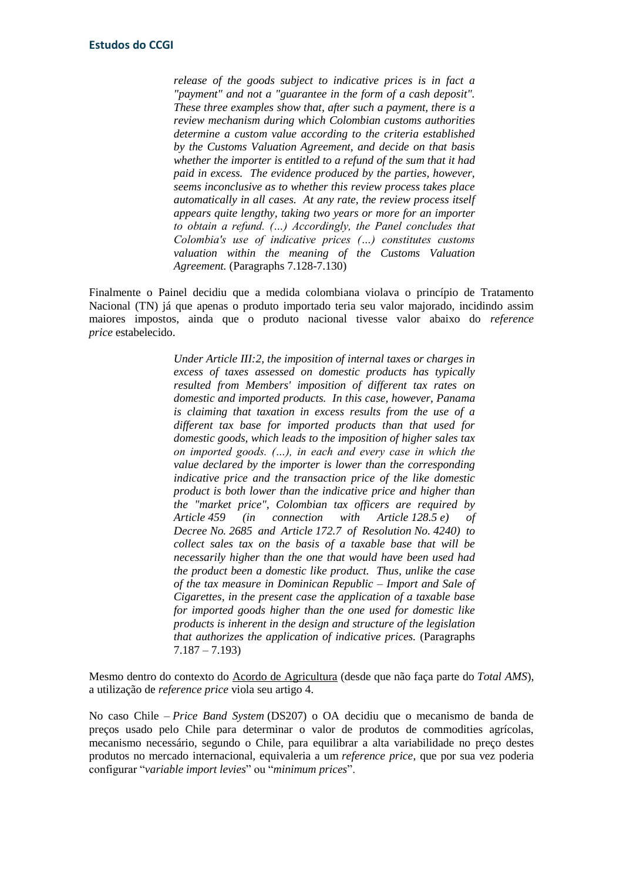*release of the goods subject to indicative prices is in fact a "payment" and not a "guarantee in the form of a cash deposit". These three examples show that, after such a payment, there is a review mechanism during which Colombian customs authorities determine a custom value according to the criteria established by the Customs Valuation Agreement, and decide on that basis whether the importer is entitled to a refund of the sum that it had paid in excess. The evidence produced by the parties, however, seems inconclusive as to whether this review process takes place automatically in all cases. At any rate, the review process itself appears quite lengthy, taking two years or more for an importer to obtain a refund. (…) Accordingly, the Panel concludes that Colombia's use of indicative prices (…) constitutes customs valuation within the meaning of the Customs Valuation Agreement.* (Paragraphs 7.128-7.130)

Finalmente o Painel decidiu que a medida colombiana violava o princípio de Tratamento Nacional (TN) já que apenas o produto importado teria seu valor majorado, incidindo assim maiores impostos, ainda que o produto nacional tivesse valor abaixo do *reference price* estabelecido.

> *Under Article III:2, the imposition of internal taxes or charges in excess of taxes assessed on domestic products has typically resulted from Members' imposition of different tax rates on domestic and imported products. In this case, however, Panama is claiming that taxation in excess results from the use of a different tax base for imported products than that used for domestic goods, which leads to the imposition of higher sales tax on imported goods. (…), in each and every case in which the value declared by the importer is lower than the corresponding indicative price and the transaction price of the like domestic product is both lower than the indicative price and higher than the "market price", Colombian tax officers are required by Article 459 (in connection with Article 128.5 e) of Decree No. 2685 and Article 172.7 of Resolution No. 4240) to collect sales tax on the basis of a taxable base that will be necessarily higher than the one that would have been used had the product been a domestic like product. Thus, unlike the case of the tax measure in Dominican Republic – Import and Sale of Cigarettes, in the present case the application of a taxable base for imported goods higher than the one used for domestic like products is inherent in the design and structure of the legislation that authorizes the application of indicative prices.* (Paragraphs 7.187 – 7.193)

Mesmo dentro do contexto do Acordo de Agricultura (desde que não faça parte do *Total AMS*), a utilização de *reference price* viola seu artigo 4.

No caso Chile – *Price Band System* (DS207) o OA decidiu que o mecanismo de banda de preços usado pelo Chile para determinar o valor de produtos de commodities agrícolas, mecanismo necessário, segundo o Chile, para equilibrar a alta variabilidade no preço destes produtos no mercado internacional, equivaleria a um *reference price*, que por sua vez poderia configurar "*variable import levies*" ou "*minimum prices*".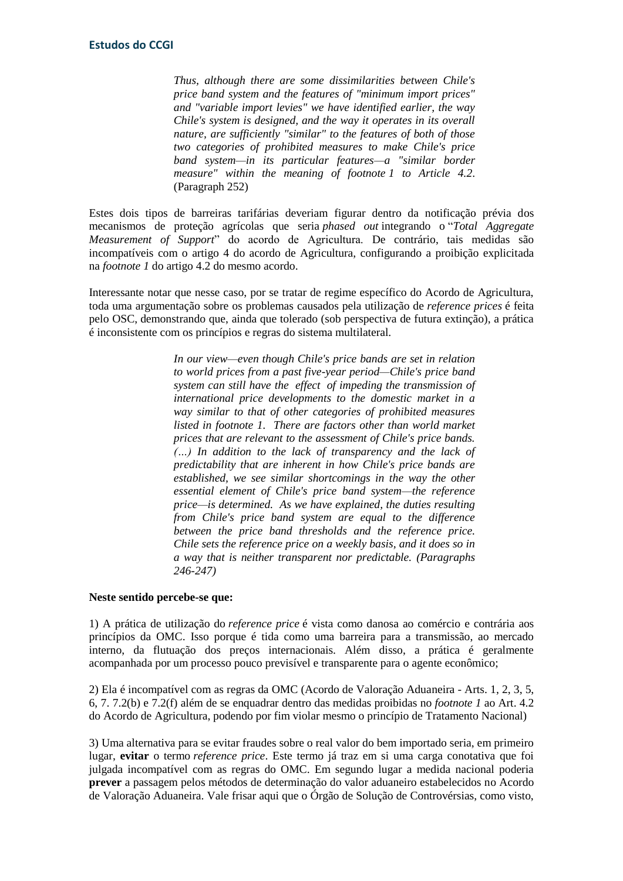*Thus, although there are some dissimilarities between Chile's price band system and the features of "minimum import prices" and "variable import levies" we have identified earlier, the way Chile's system is designed, and the way it operates in its overall nature, are sufficiently "similar" to the features of both of those two categories of prohibited measures to make Chile's price band system—in its particular features—a "similar border measure" within the meaning of footnote 1 to Article 4.2*. (Paragraph 252)

Estes dois tipos de barreiras tarifárias deveriam figurar dentro da notificação prévia dos mecanismos de proteção agrícolas que seria *phased out* integrando o "*Total Aggregate Measurement of Support*" do acordo de Agricultura. De contrário, tais medidas são incompatíveis com o artigo 4 do acordo de Agricultura, configurando a proibição explicitada na *footnote 1* do artigo 4.2 do mesmo acordo.

Interessante notar que nesse caso, por se tratar de regime específico do Acordo de Agricultura, toda uma argumentação sobre os problemas causados pela utilização de *reference prices* é feita pelo OSC, demonstrando que, ainda que tolerado (sob perspectiva de futura extinção), a prática é inconsistente com os princípios e regras do sistema multilateral.

> *In our view—even though Chile's price bands are set in relation to world prices from a past five-year period—Chile's price band system can still have the effect of impeding the transmission of international price developments to the domestic market in a way similar to that of other categories of prohibited measures listed in footnote 1. There are factors other than world market prices that are relevant to the assessment of Chile's price bands. (…) In addition to the lack of transparency and the lack of predictability that are inherent in how Chile's price bands are established, we see similar shortcomings in the way the other essential element of Chile's price band system—the reference price—is determined. As we have explained, the duties resulting from Chile's price band system are equal to the difference between the price band thresholds and the reference price. Chile sets the reference price on a weekly basis, and it does so in a way that is neither transparent nor predictable. (Paragraphs 246-247)*

### **Neste sentido percebe-se que:**

1) A prática de utilização do *reference price* é vista como danosa ao comércio e contrária aos princípios da OMC. Isso porque é tida como uma barreira para a transmissão, ao mercado interno, da flutuação dos preços internacionais. Além disso, a prática é geralmente acompanhada por um processo pouco previsível e transparente para o agente econômico;

2) Ela é incompatível com as regras da OMC (Acordo de Valoração Aduaneira - Arts. 1, 2, 3, 5, 6, 7. 7.2(b) e 7.2(f) além de se enquadrar dentro das medidas proibidas no *footnote 1* ao Art. 4.2 do Acordo de Agricultura, podendo por fim violar mesmo o princípio de Tratamento Nacional)

3) Uma alternativa para se evitar fraudes sobre o real valor do bem importado seria, em primeiro lugar, **evitar** o termo *reference price*. Este termo já traz em si uma carga conotativa que foi julgada incompatível com as regras do OMC. Em segundo lugar a medida nacional poderia **prever** a passagem pelos métodos de determinação do valor aduaneiro estabelecidos no Acordo de Valoração Aduaneira. Vale frisar aqui que o Órgão de Solução de Controvérsias, como visto,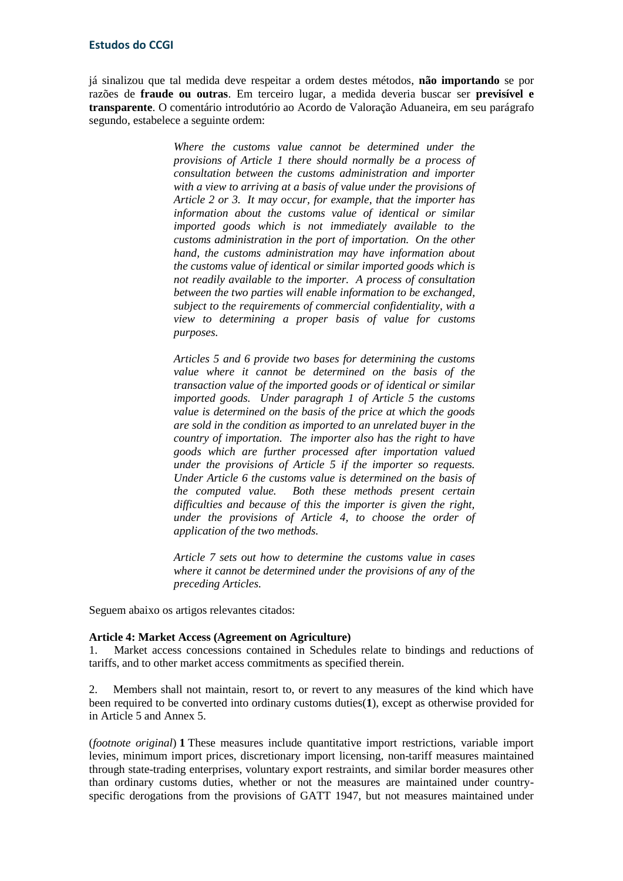### **Estudos do CCGI**

já sinalizou que tal medida deve respeitar a ordem destes métodos, **não importando** se por razões de **fraude ou outras**. Em terceiro lugar, a medida deveria buscar ser **previsível e transparente**. O comentário introdutório ao Acordo de Valoração Aduaneira, em seu parágrafo segundo, estabelece a seguinte ordem:

> *Where the customs value cannot be determined under the provisions of Article 1 there should normally be a process of consultation between the customs administration and importer with a view to arriving at a basis of value under the provisions of Article 2 or 3. It may occur, for example, that the importer has information about the customs value of identical or similar imported goods which is not immediately available to the customs administration in the port of importation. On the other hand, the customs administration may have information about the customs value of identical or similar imported goods which is not readily available to the importer. A process of consultation between the two parties will enable information to be exchanged, subject to the requirements of commercial confidentiality, with a view to determining a proper basis of value for customs purposes.*

> *Articles 5 and 6 provide two bases for determining the customs value where it cannot be determined on the basis of the transaction value of the imported goods or of identical or similar imported goods. Under paragraph 1 of Article 5 the customs value is determined on the basis of the price at which the goods are sold in the condition as imported to an unrelated buyer in the country of importation. The importer also has the right to have goods which are further processed after importation valued under the provisions of Article 5 if the importer so requests. Under Article 6 the customs value is determined on the basis of the computed value. Both these methods present certain difficulties and because of this the importer is given the right, under the provisions of Article 4, to choose the order of application of the two methods.*

> *Article 7 sets out how to determine the customs value in cases where it cannot be determined under the provisions of any of the preceding Articles.*

Seguem abaixo os artigos relevantes citados:

#### **Article 4: Market Access (Agreement on Agriculture)**

1. Market access concessions contained in Schedules relate to bindings and reductions of tariffs, and to other market access commitments as specified therein.

2. Members shall not maintain, resort to, or revert to any measures of the kind which have been required to be converted into ordinary customs duties(**1**), except as otherwise provided for in Article 5 and Annex 5.

(*footnote original*) **1** These measures include quantitative import restrictions, variable import levies, minimum import prices, discretionary import licensing, non-tariff measures maintained through state-trading enterprises, voluntary export restraints, and similar border measures other than ordinary customs duties, whether or not the measures are maintained under countryspecific derogations from the provisions of GATT 1947, but not measures maintained under